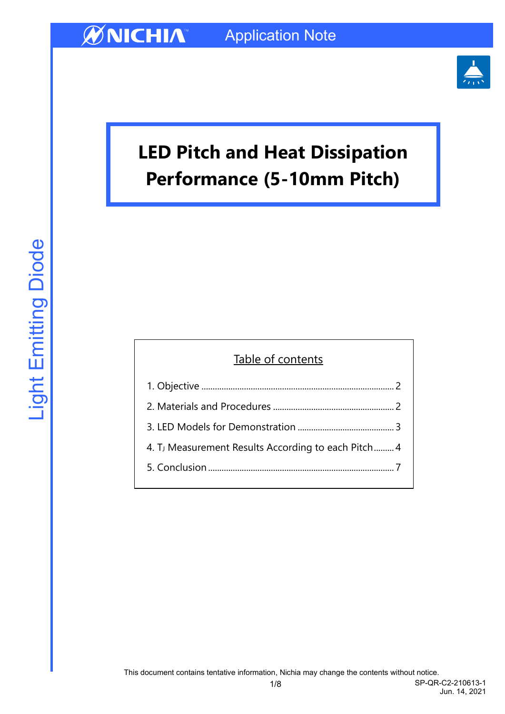

# **LED Pitch and Heat Dissipation Performance (5-10mm Pitch)**

## Table of contents 1. Objective [......................................................................................](#page-1-0) 2 [2. Materials and Procedures](#page-1-1) ...................................................... 2 3. LED [Models for Demonstration](#page-2-0) ........................................... 3 4. TJ [Measurement Results According to each Pitch](#page-3-0)......... 4

5. Conclusion [...................................................................................](#page-6-0) 7

1/8 SP-QR-C2-210613-1 Jun. 14, 2021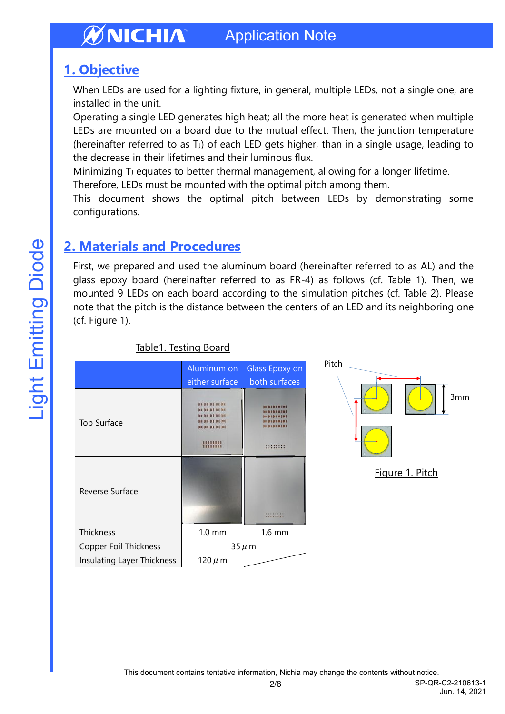### <span id="page-1-0"></span>**1. Objective**

When LEDs are used for a lighting fixture, in general, multiple LEDs, not a single one, are installed in the unit.

Operating a single LED generates high heat; all the more heat is generated when multiple LEDs are mounted on a board due to the mutual effect. Then, the junction temperature (hereinafter referred to as T<sub>J</sub>) of each LED gets higher, than in a single usage, leading to the decrease in their lifetimes and their luminous flux.

Minimizing T<sub>J</sub> equates to better thermal management, allowing for a longer lifetime.

Therefore, LEDs must be mounted with the optimal pitch among them.

This document shows the optimal pitch between LEDs by demonstrating some configurations.

### <span id="page-1-1"></span>**2. Materials and Procedures**

First, we prepared and used the aluminum board (hereinafter referred to as AL) and the glass epoxy board (hereinafter referred to as FR-4) as follows (cf. Table 1). Then, we mounted 9 LEDs on each board according to the simulation pitches (cf. Table 2). Please note that the pitch is the distance between the centers of an LED and its neighboring one (cf. Figure 1).

|                              | Aluminum on      | Glass Epoxy on |
|------------------------------|------------------|----------------|
|                              | either surface   | both surfaces  |
| Top Surface                  | <b>MEMSMENT</b>  |                |
| Reverse Surface              |                  |                |
| Thickness                    | $1.0 \text{ mm}$ | $1.6$ mm       |
| <b>Copper Foil Thickness</b> | $35 \mu m$       |                |
| Insulating Layer Thickness   | $120 \mu$ m      |                |

### Table1. Testing Board

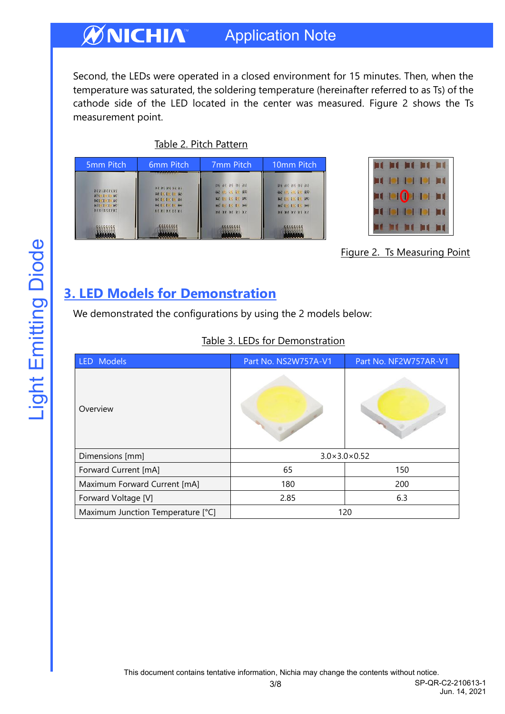Second, the LEDs were operated in a closed environment for 15 minutes. Then, when the temperature was saturated, the soldering temperature (hereinafter referred to as Ts) of the cathode side of the LED located in the center was measured. Figure 2 shows the Ts measurement point.

Table 2. Pitch Pattern

| 5mm Pitch                                                                              | 6 <sub>mm</sub> Pitch                                                                                | 7 <sub>mm</sub> Pitch                                                                                                    | 10mm Pitch                                                                                              |
|----------------------------------------------------------------------------------------|------------------------------------------------------------------------------------------------------|--------------------------------------------------------------------------------------------------------------------------|---------------------------------------------------------------------------------------------------------|
| <b>NUMBER</b><br>第210.10.19 MC<br><b>BCLK1 11, RC</b><br>■対位【反】 6条<br><b>MERICKERS</b> | <b>BCRCRCRCRC</b><br>RC1 . 1 . 1 . RC<br><b>MCLING BE</b><br><b>BCLCLCLV BO</b><br><b>KCREACKCRE</b> | <b>DE DE DS DE DE</b><br><b>经 10. 10. 10. 69</b><br><b>KC DO DK DK</b><br><b>MOIN IN IN 184</b><br><b>HE RE KE KE KE</b> | <b>DE BC BS DE BE</b><br>碳质 改比数<br>KC 100 180 100 180<br><b>BC/19/16/16/16</b><br><b>HE RE RE RE RE</b> |
|                                                                                        |                                                                                                      |                                                                                                                          |                                                                                                         |



Figure 2. Ts Measuring Point

### <span id="page-2-0"></span>**3. LED Models for Demonstration**

We demonstrated the configurations by using the 2 models below:

| LED Models                        | Part No. NS2W757A-V1         | Part No. NF2W757AR-V1 |  |
|-----------------------------------|------------------------------|-----------------------|--|
| Overview                          |                              |                       |  |
| Dimensions [mm]                   | $3.0 \times 3.0 \times 0.52$ |                       |  |
| Forward Current [mA]              | 65                           | 150                   |  |
| Maximum Forward Current [mA]      | 180                          | 200                   |  |
| Forward Voltage [V]               | 2.85                         | 6.3                   |  |
| Maximum Junction Temperature [°C] | 120                          |                       |  |

### Table 3. LEDs for Demonstration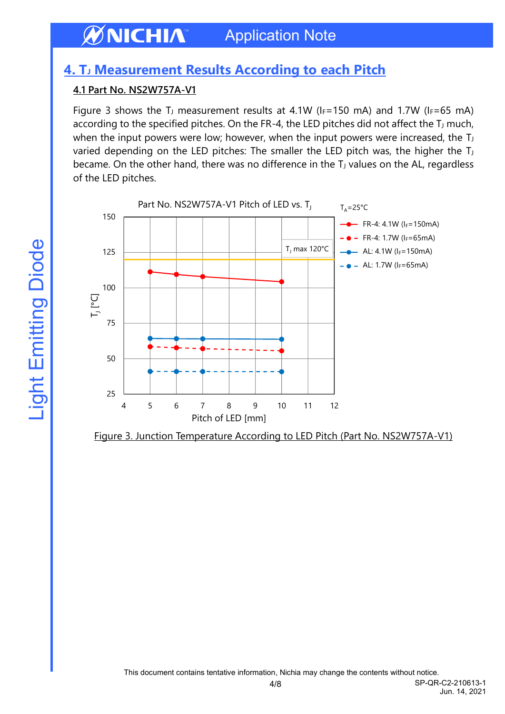### <span id="page-3-0"></span>**4. T<sup>J</sup> Measurement Results According to each Pitch**

### **4.1 Part No. NS2W757A-V1**

Figure 3 shows the T<sub>J</sub> measurement results at 4.1W ( $I_F$ =150 mA) and 1.7W ( $I_F$ =65 mA) according to the specified pitches. On the FR-4, the LED pitches did not affect the  $T_J$  much, when the input powers were low; however, when the input powers were increased, the  $T_J$ varied depending on the LED pitches: The smaller the LED pitch was, the higher the T became. On the other hand, there was no difference in the T<sub>J</sub> values on the AL, regardless of the LED pitches.



Figure 3. Junction Temperature According to LED Pitch (Part No. NS2W757A-V1)

4/8 SP-QR-C2-210613-1 Jun. 14, 2021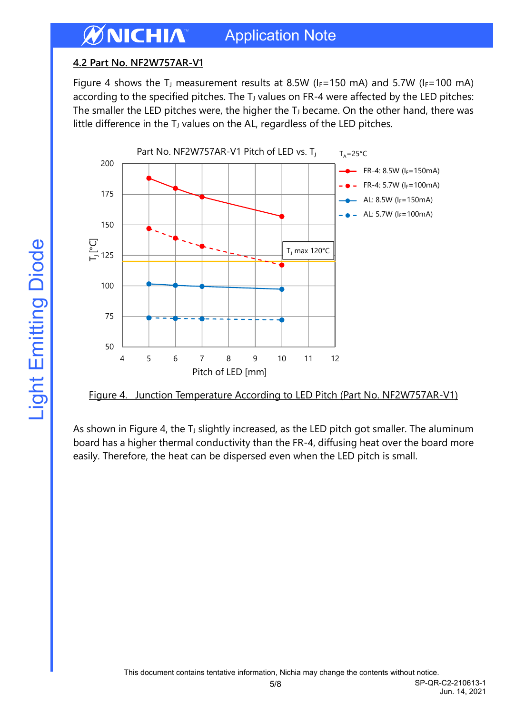### **4.2 Part No. NF2W757AR-V1**

Figure 4 shows the T<sub>J</sub> measurement results at 8.5W ( $I_F$ =150 mA) and 5.7W ( $I_F$ =100 mA) according to the specified pitches. The  $T_J$  values on FR-4 were affected by the LED pitches: The smaller the LED pitches were, the higher the  $T_J$  became. On the other hand, there was little difference in the  $T_J$  values on the AL, regardless of the LED pitches.



Figure 4. Junction Temperature According to LED Pitch (Part No. NF2W757AR-V1)

As shown in Figure 4, the T<sub>J</sub> slightly increased, as the LED pitch got smaller. The aluminum board has a higher thermal conductivity than the FR-4, diffusing heat over the board more easily. Therefore, the heat can be dispersed even when the LED pitch is small.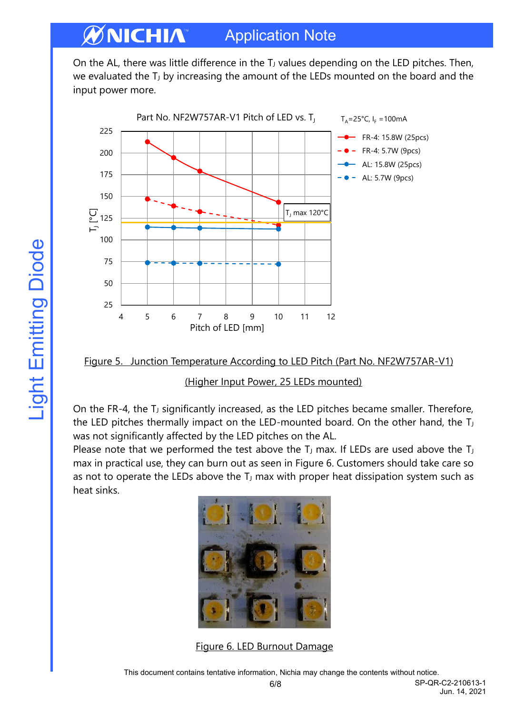On the AL, there was little difference in the T<sub>J</sub> values depending on the LED pitches. Then, we evaluated the  $T_J$  by increasing the amount of the LEDs mounted on the board and the input power more.



Figure 5. Junction Temperature According to LED Pitch (Part No. NF2W757AR-V1)

(Higher Input Power, 25 LEDs mounted)

On the FR-4, the T<sub>J</sub> significantly increased, as the LED pitches became smaller. Therefore, the LED pitches thermally impact on the LED-mounted board. On the other hand, the T was not significantly affected by the LED pitches on the AL.

Please note that we performed the test above the  $T_J$  max. If LEDs are used above the  $T_J$ max in practical use, they can burn out as seen in Figure 6. Customers should take care so as not to operate the LEDs above the  $T_J$  max with proper heat dissipation system such as heat sinks.



Figure 6. LED Burnout Damage

6/8 SP-QR-C2-210613-1 Jun. 14, 2021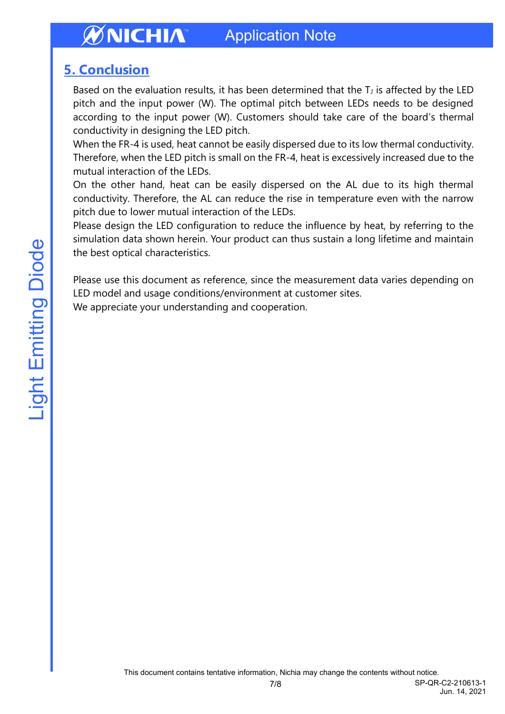### <span id="page-6-0"></span>**5. Conclusion**

Based on the evaluation results, it has been determined that the  $T_J$  is affected by the LED pitch and the input power (W). The optimal pitch between LEDs needs to be designed according to the input power (W). Customers should take care of the board's thermal conductivity in designing the LED pitch.

When the FR-4 is used, heat cannot be easily dispersed due to its low thermal conductivity. Therefore, when the LED pitch is small on the FR-4, heat is excessively increased due to the mutual interaction of the LEDs.

On the other hand, heat can be easily dispersed on the AL due to its high thermal conductivity. Therefore, the AL can reduce the rise in temperature even with the narrow pitch due to lower mutual interaction of the LEDs.

Please design the LED configuration to reduce the influence by heat, by referring to the simulation data shown herein. Your product can thus sustain a long lifetime and maintain the best optical characteristics.

Please use this document as reference, since the measurement data varies depending on LED model and usage conditions/environment at customer sites. We appreciate your understanding and cooperation.